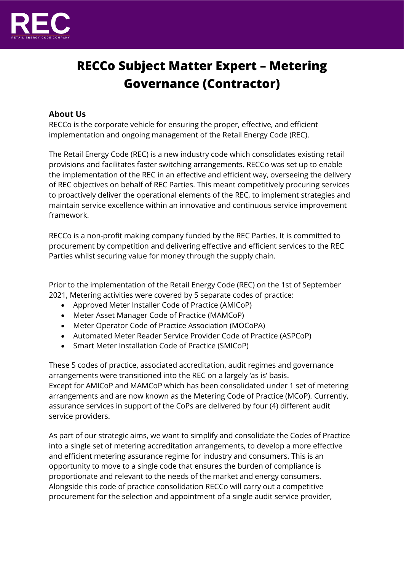

# **RECCo Subject Matter Expert – Metering Governance (Contractor)**

## **About Us**

RECCo is the corporate vehicle for ensuring the proper, effective, and efficient implementation and ongoing management of the Retail Energy Code (REC).

The Retail Energy Code (REC) is a new industry code which consolidates existing retail provisions and facilitates faster switching arrangements. RECCo was set up to enable the implementation of the REC in an effective and efficient way, overseeing the delivery of REC objectives on behalf of REC Parties. This meant competitively procuring services to proactively deliver the operational elements of the REC, to implement strategies and maintain service excellence within an innovative and continuous service improvement framework.

RECCo is a non-profit making company funded by the REC Parties. It is committed to procurement by competition and delivering effective and efficient services to the REC Parties whilst securing value for money through the supply chain.

Prior to the implementation of the Retail Energy Code (REC) on the 1st of September 2021, Metering activities were covered by 5 separate codes of practice:

- Approved Meter Installer Code of Practice (AMICoP)
- Meter Asset Manager Code of Practice (MAMCoP)
- Meter Operator Code of Practice Association (MOCoPA)
- Automated Meter Reader Service Provider Code of Practice (ASPCoP)
- Smart Meter Installation Code of Practice (SMICoP)

These 5 codes of practice, associated accreditation, audit regimes and governance arrangements were transitioned into the REC on a largely 'as is' basis. Except for AMICoP and MAMCoP which has been consolidated under 1 set of metering arrangements and are now known as the Metering Code of Practice (MCoP). Currently, assurance services in support of the CoPs are delivered by four (4) different audit service providers.

As part of our strategic aims, we want to simplify and consolidate the Codes of Practice into a single set of metering accreditation arrangements, to develop a more effective and efficient metering assurance regime for industry and consumers. This is an opportunity to move to a single code that ensures the burden of compliance is proportionate and relevant to the needs of the market and energy consumers. Alongside this code of practice consolidation RECCo will carry out a competitive procurement for the selection and appointment of a single audit service provider,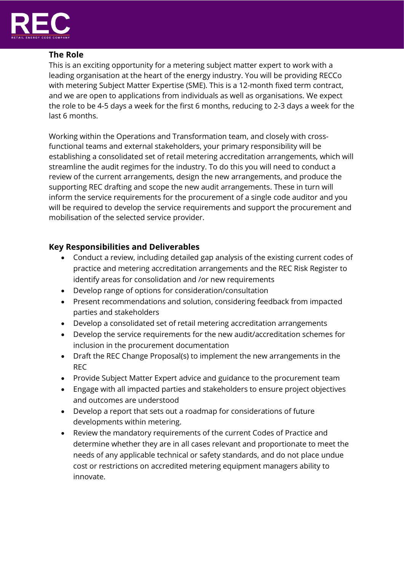

## **The Role**

This is an exciting opportunity for a metering subject matter expert to work with a leading organisation at the heart of the energy industry. You will be providing RECCo with metering Subject Matter Expertise (SME). This is a 12-month fixed term contract, and we are open to applications from individuals as well as organisations. We expect the role to be 4-5 days a week for the first 6 months, reducing to 2-3 days a week for the last 6 months.

Working within the Operations and Transformation team, and closely with crossfunctional teams and external stakeholders, your primary responsibility will be establishing a consolidated set of retail metering accreditation arrangements, which will streamline the audit regimes for the industry. To do this you will need to conduct a review of the current arrangements, design the new arrangements, and produce the supporting REC drafting and scope the new audit arrangements. These in turn will inform the service requirements for the procurement of a single code auditor and you will be required to develop the service requirements and support the procurement and mobilisation of the selected service provider.

# **Key Responsibilities and Deliverables**

- Conduct a review, including detailed gap analysis of the existing current codes of practice and metering accreditation arrangements and the REC Risk Register to identify areas for consolidation and /or new requirements
- Develop range of options for consideration/consultation
- Present recommendations and solution, considering feedback from impacted parties and stakeholders
- Develop a consolidated set of retail metering accreditation arrangements
- Develop the service requirements for the new audit/accreditation schemes for inclusion in the procurement documentation
- Draft the REC Change Proposal(s) to implement the new arrangements in the REC
- Provide Subject Matter Expert advice and guidance to the procurement team
- Engage with all impacted parties and stakeholders to ensure project objectives and outcomes are understood
- Develop a report that sets out a roadmap for considerations of future developments within metering.
- Review the mandatory requirements of the current Codes of Practice and determine whether they are in all cases relevant and proportionate to meet the needs of any applicable technical or safety standards, and do not place undue cost or restrictions on accredited metering equipment managers ability to innovate.